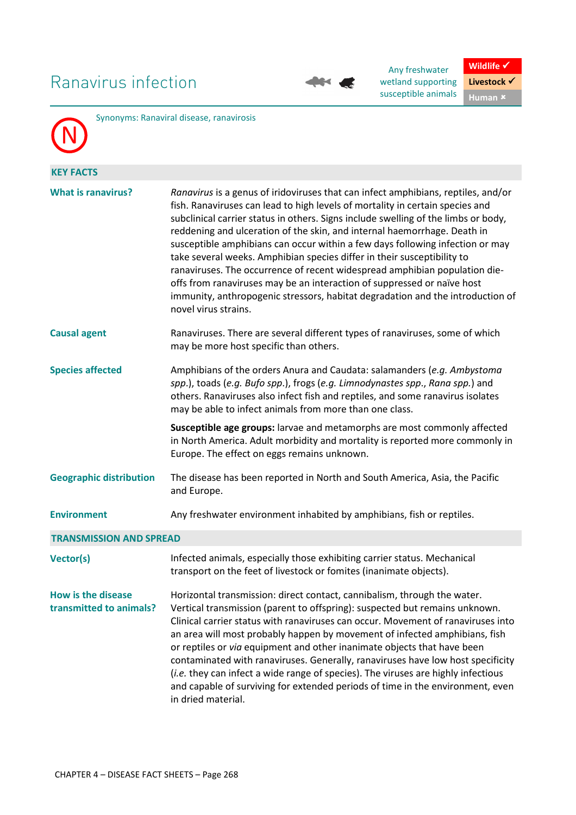## Ranavirus infection



Any freshwater wetland supporting susceptible animals



|                                               | Synonyms: Ranaviral disease, ranavirosis                                                                                                                                                                                                                                                                                                                                                                                                                                                                                                                                                                                                                                                                                                                            |  |  |  |
|-----------------------------------------------|---------------------------------------------------------------------------------------------------------------------------------------------------------------------------------------------------------------------------------------------------------------------------------------------------------------------------------------------------------------------------------------------------------------------------------------------------------------------------------------------------------------------------------------------------------------------------------------------------------------------------------------------------------------------------------------------------------------------------------------------------------------------|--|--|--|
| <b>KEY FACTS</b>                              |                                                                                                                                                                                                                                                                                                                                                                                                                                                                                                                                                                                                                                                                                                                                                                     |  |  |  |
| <b>What is ranavirus?</b>                     | Ranavirus is a genus of iridoviruses that can infect amphibians, reptiles, and/or<br>fish. Ranaviruses can lead to high levels of mortality in certain species and<br>subclinical carrier status in others. Signs include swelling of the limbs or body,<br>reddening and ulceration of the skin, and internal haemorrhage. Death in<br>susceptible amphibians can occur within a few days following infection or may<br>take several weeks. Amphibian species differ in their susceptibility to<br>ranaviruses. The occurrence of recent widespread amphibian population die-<br>offs from ranaviruses may be an interaction of suppressed or naïve host<br>immunity, anthropogenic stressors, habitat degradation and the introduction of<br>novel virus strains. |  |  |  |
| <b>Causal agent</b>                           | Ranaviruses. There are several different types of ranaviruses, some of which<br>may be more host specific than others.                                                                                                                                                                                                                                                                                                                                                                                                                                                                                                                                                                                                                                              |  |  |  |
| <b>Species affected</b>                       | Amphibians of the orders Anura and Caudata: salamanders (e.g. Ambystoma<br>spp.), toads (e.g. Bufo spp.), frogs (e.g. Limnodynastes spp., Rana spp.) and<br>others. Ranaviruses also infect fish and reptiles, and some ranavirus isolates<br>may be able to infect animals from more than one class.                                                                                                                                                                                                                                                                                                                                                                                                                                                               |  |  |  |
|                                               | Susceptible age groups: larvae and metamorphs are most commonly affected<br>in North America. Adult morbidity and mortality is reported more commonly in<br>Europe. The effect on eggs remains unknown.                                                                                                                                                                                                                                                                                                                                                                                                                                                                                                                                                             |  |  |  |
| <b>Geographic distribution</b>                | The disease has been reported in North and South America, Asia, the Pacific<br>and Europe.                                                                                                                                                                                                                                                                                                                                                                                                                                                                                                                                                                                                                                                                          |  |  |  |
| <b>Environment</b>                            | Any freshwater environment inhabited by amphibians, fish or reptiles.                                                                                                                                                                                                                                                                                                                                                                                                                                                                                                                                                                                                                                                                                               |  |  |  |
| <b>TRANSMISSION AND SPREAD</b>                |                                                                                                                                                                                                                                                                                                                                                                                                                                                                                                                                                                                                                                                                                                                                                                     |  |  |  |
| Vector(s)                                     | Infected animals, especially those exhibiting carrier status. Mechanical<br>transport on the feet of livestock or fomites (inanimate objects).                                                                                                                                                                                                                                                                                                                                                                                                                                                                                                                                                                                                                      |  |  |  |
| How is the disease<br>transmitted to animals? | Horizontal transmission: direct contact, cannibalism, through the water.<br>Vertical transmission (parent to offspring): suspected but remains unknown.<br>Clinical carrier status with ranaviruses can occur. Movement of ranaviruses into<br>an area will most probably happen by movement of infected amphibians, fish<br>or reptiles or via equipment and other inanimate objects that have been<br>contaminated with ranaviruses. Generally, ranaviruses have low host specificity<br>(i.e. they can infect a wide range of species). The viruses are highly infectious<br>and capable of surviving for extended periods of time in the environment, even<br>in dried material.                                                                                |  |  |  |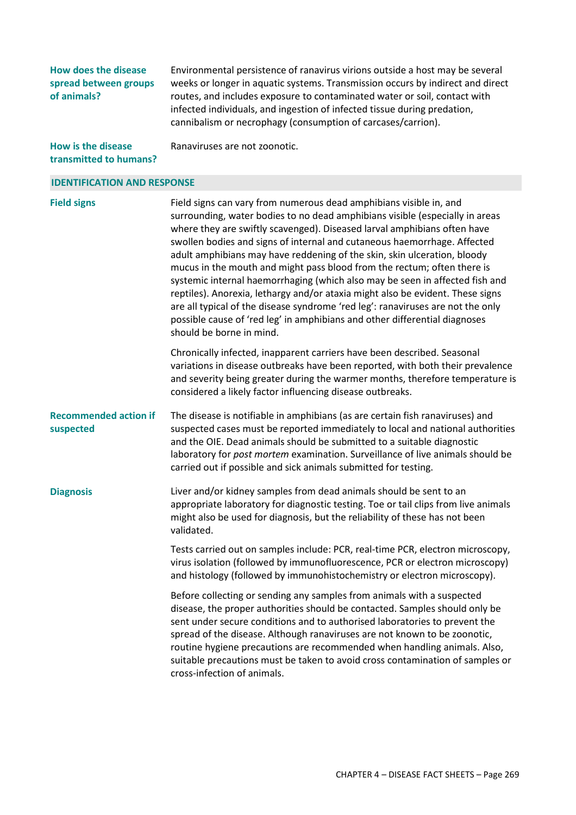**How does the disease spread between groups of animals?** 

Environmental persistence of ranavirus virions outside a host may be several weeks or longer in aquatic systems. Transmission occurs by indirect and direct routes, and includes exposure to contaminated water or soil, contact with infected individuals, and ingestion of infected tissue during predation, cannibalism or necrophagy (consumption of carcases/carrion).

**How is the disease transmitted to humans?**  Ranaviruses are not zoonotic.

## **IDENTIFICATION AND RESPONSE**

**Field signs** Field signs can vary from numerous dead amphibians visible in, and surrounding, water bodies to no dead amphibians visible (especially in areas where they are swiftly scavenged). Diseased larval amphibians often have swollen bodies and signs of internal and cutaneous haemorrhage. Affected adult amphibians may have reddening of the skin, skin ulceration, bloody mucus in the mouth and might pass blood from the rectum; often there is systemic internal haemorrhaging (which also may be seen in affected fish and reptiles). Anorexia, lethargy and/or ataxia might also be evident. These signs are all typical of the disease syndrome 'red leg': ranaviruses are not the only possible cause of 'red leg' in amphibians and other differential diagnoses should be borne in mind. Chronically infected, inapparent carriers have been described. Seasonal variations in disease outbreaks have been reported, with both their prevalence and severity being greater during the warmer months, therefore temperature is considered a likely factor influencing disease outbreaks. **Recommended action if suspected**  The disease is notifiable in amphibians (as are certain fish ranaviruses) and suspected cases must be reported immediately to local and national authorities and the OIE. Dead animals should be submitted to a suitable diagnostic laboratory for *post mortem* examination. Surveillance of live animals should be carried out if possible and sick animals submitted for testing. **Diagnosis** Liver and/or kidney samples from dead animals should be sent to an appropriate laboratory for diagnostic testing. Toe or tail clips from live animals might also be used for diagnosis, but the reliability of these has not been validated. Tests carried out on samples include: PCR, real-time PCR, electron microscopy, virus isolation (followed by immunofluorescence, PCR or electron microscopy) and histology (followed by immunohistochemistry or electron microscopy). Before collecting or sending any samples from animals with a suspected disease, the proper authorities should be contacted. Samples should only be sent under secure conditions and to authorised laboratories to prevent the spread of the disease. Although ranaviruses are not known to be zoonotic,

cross-infection of animals.

routine hygiene precautions are recommended when handling animals. Also, suitable precautions must be taken to avoid cross contamination of samples or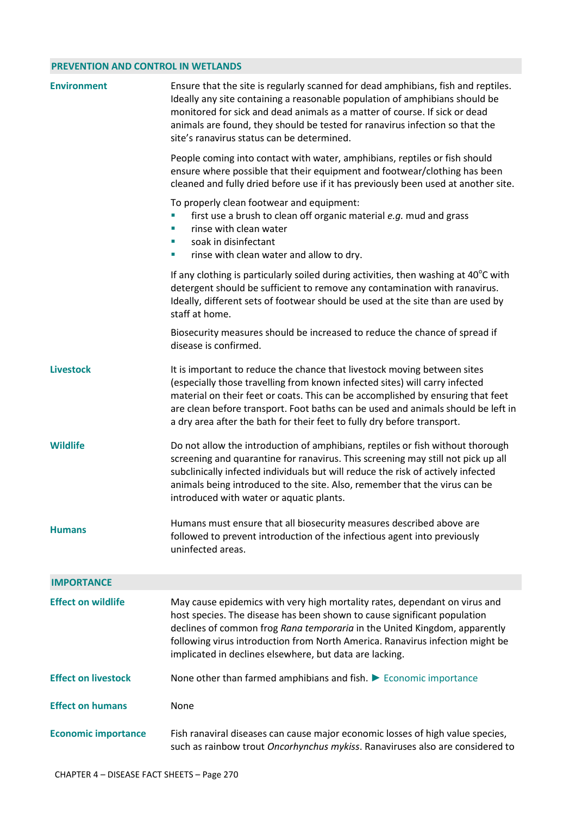## **PREVENTION AND CONTROL IN WETLANDS**

| <b>Environment</b>         | Ensure that the site is regularly scanned for dead amphibians, fish and reptiles.<br>Ideally any site containing a reasonable population of amphibians should be<br>monitored for sick and dead animals as a matter of course. If sick or dead<br>animals are found, they should be tested for ranavirus infection so that the<br>site's ranavirus status can be determined.                              |  |  |
|----------------------------|-----------------------------------------------------------------------------------------------------------------------------------------------------------------------------------------------------------------------------------------------------------------------------------------------------------------------------------------------------------------------------------------------------------|--|--|
|                            | People coming into contact with water, amphibians, reptiles or fish should<br>ensure where possible that their equipment and footwear/clothing has been<br>cleaned and fully dried before use if it has previously been used at another site.                                                                                                                                                             |  |  |
|                            | To properly clean footwear and equipment:<br>first use a brush to clean off organic material e.g. mud and grass<br>rinse with clean water<br>×<br>soak in disinfectant<br>×<br>rinse with clean water and allow to dry.<br>×                                                                                                                                                                              |  |  |
|                            | If any clothing is particularly soiled during activities, then washing at $40^{\circ}$ C with<br>detergent should be sufficient to remove any contamination with ranavirus.<br>Ideally, different sets of footwear should be used at the site than are used by<br>staff at home.                                                                                                                          |  |  |
|                            | Biosecurity measures should be increased to reduce the chance of spread if<br>disease is confirmed.                                                                                                                                                                                                                                                                                                       |  |  |
| <b>Livestock</b>           | It is important to reduce the chance that livestock moving between sites<br>(especially those travelling from known infected sites) will carry infected<br>material on their feet or coats. This can be accomplished by ensuring that feet<br>are clean before transport. Foot baths can be used and animals should be left in<br>a dry area after the bath for their feet to fully dry before transport. |  |  |
| <b>Wildlife</b>            | Do not allow the introduction of amphibians, reptiles or fish without thorough<br>screening and quarantine for ranavirus. This screening may still not pick up all<br>subclinically infected individuals but will reduce the risk of actively infected<br>animals being introduced to the site. Also, remember that the virus can be<br>introduced with water or aquatic plants.                          |  |  |
| <b>Humans</b>              | Humans must ensure that all biosecurity measures described above are<br>followed to prevent introduction of the infectious agent into previously<br>uninfected areas.                                                                                                                                                                                                                                     |  |  |
| <b>IMPORTANCE</b>          |                                                                                                                                                                                                                                                                                                                                                                                                           |  |  |
| <b>Effect on wildlife</b>  | May cause epidemics with very high mortality rates, dependant on virus and<br>host species. The disease has been shown to cause significant population<br>declines of common frog Rana temporaria in the United Kingdom, apparently<br>following virus introduction from North America. Ranavirus infection might be<br>implicated in declines elsewhere, but data are lacking.                           |  |  |
| <b>Effect on livestock</b> | None other than farmed amphibians and fish. $\blacktriangleright$ Economic importance                                                                                                                                                                                                                                                                                                                     |  |  |
| <b>Effect on humans</b>    | None                                                                                                                                                                                                                                                                                                                                                                                                      |  |  |
| <b>Economic importance</b> | Fish ranaviral diseases can cause major economic losses of high value species,<br>such as rainbow trout Oncorhynchus mykiss. Ranaviruses also are considered to                                                                                                                                                                                                                                           |  |  |